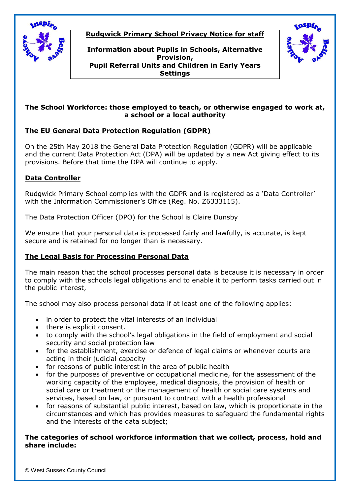

# **Rudgwick Primary School Privacy Notice for staff**

**Information about Pupils in Schools, Alternative Provision, Pupil Referral Units and Children in Early Years Settings**



### **The School Workforce: those employed to teach, or otherwise engaged to work at, a school or a local authority**

# **The EU General Data Protection Regulation (GDPR)**

On the 25th May 2018 the General Data Protection Regulation (GDPR) will be applicable and the current Data Protection Act (DPA) will be updated by a new Act giving effect to its provisions. Before that time the DPA will continue to apply.

# **Data Controller**

Rudgwick Primary School complies with the GDPR and is registered as a 'Data Controller' with the Information Commissioner's Office (Reg. No. Z6333115).

The Data Protection Officer (DPO) for the School is Claire Dunsby

We ensure that your personal data is processed fairly and lawfully, is accurate, is kept secure and is retained for no longer than is necessary.

# **The Legal Basis for Processing Personal Data**

The main reason that the school processes personal data is because it is necessary in order to comply with the schools legal obligations and to enable it to perform tasks carried out in the public interest,

The school may also process personal data if at least one of the following applies:

- in order to protect the vital interests of an individual
- there is explicit consent.
- to comply with the school's legal obligations in the field of employment and social security and social protection law
- for the establishment, exercise or defence of legal claims or whenever courts are acting in their judicial capacity
- for reasons of public interest in the area of public health
- for the purposes of preventive or occupational medicine, for the assessment of the working capacity of the employee, medical diagnosis, the provision of health or social care or treatment or the management of health or social care systems and services, based on law, or pursuant to contract with a health professional
- for reasons of substantial public interest, based on law, which is proportionate in the circumstances and which has provides measures to safeguard the fundamental rights and the interests of the data subject;

### **The categories of school workforce information that we collect, process, hold and share include:**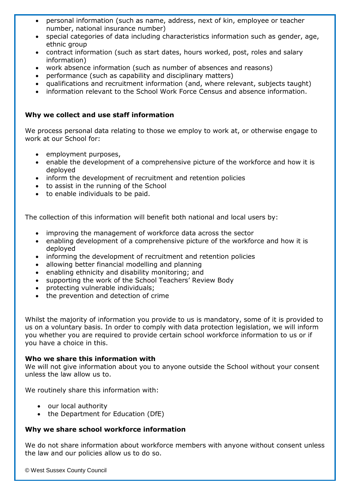- personal information (such as name, address, next of kin, employee or teacher number, national insurance number)
- special categories of data including characteristics information such as gender, age, ethnic group
- contract information (such as start dates, hours worked, post, roles and salary information)
- work absence information (such as number of absences and reasons)
- performance (such as capability and disciplinary matters)
- qualifications and recruitment information (and, where relevant, subjects taught)
- information relevant to the School Work Force Census and absence information.

# **Why we collect and use staff information**

We process personal data relating to those we employ to work at, or otherwise engage to work at our School for:

- employment purposes,
- enable the development of a comprehensive picture of the workforce and how it is deployed
- inform the development of recruitment and retention policies
- to assist in the running of the School
- to enable individuals to be paid.

The collection of this information will benefit both national and local users by:

- improving the management of workforce data across the sector
- enabling development of a comprehensive picture of the workforce and how it is deployed
- informing the development of recruitment and retention policies
- allowing better financial modelling and planning
- enabling ethnicity and disability monitoring; and
- supporting the work of the School Teachers' Review Body
- protecting vulnerable individuals;
- the prevention and detection of crime

Whilst the majority of information you provide to us is mandatory, some of it is provided to us on a voluntary basis. In order to comply with data protection legislation, we will inform you whether you are required to provide certain school workforce information to us or if you have a choice in this.

### **Who we share this information with**

We will not give information about you to anyone outside the School without your consent unless the law allow us to.

We routinely share this information with:

- our local authority
- the Department for Education (DfE)

### **Why we share school workforce information**

We do not share information about workforce members with anyone without consent unless the law and our policies allow us to do so.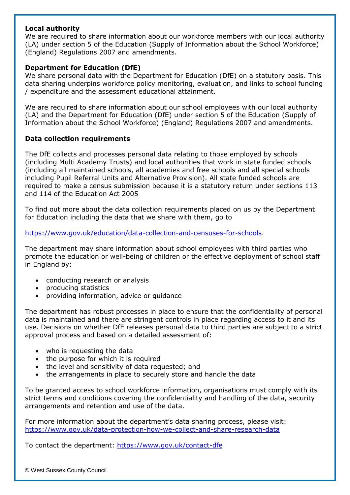### **Local authority**

We are required to share information about our workforce members with our local authority (LA) under section 5 of the Education (Supply of Information about the School Workforce) (England) Regulations 2007 and amendments.

# **Department for Education (DfE)**

We share personal data with the Department for Education (DfE) on a statutory basis. This data sharing underpins workforce policy monitoring, evaluation, and links to school funding / expenditure and the assessment educational attainment.

We are required to share information about our school employees with our local authority (LA) and the Department for Education (DfE) under section 5 of the Education (Supply of Information about the School Workforce) (England) Regulations 2007 and amendments.

# **Data collection requirements**

The DfE collects and processes personal data relating to those employed by schools (including Multi Academy Trusts) and local authorities that work in state funded schools (including all maintained schools, all academies and free schools and all special schools including Pupil Referral Units and Alternative Provision). All state funded schools are required to make a census submission because it is a statutory return under sections 113 and 114 of the Education Act 2005

To find out more about the data collection requirements placed on us by the Department for Education including the data that we share with them, go to

[https://www.gov.uk/education/data-collection-and-censuses-for-schools.](https://www.gov.uk/education/data-collection-and-censuses-for-schools)

The department may share information about school employees with third parties who promote the education or well-being of children or the effective deployment of school staff in England by:

- conducting research or analysis
- producing statistics
- providing information, advice or guidance

The department has robust processes in place to ensure that the confidentiality of personal data is maintained and there are stringent controls in place regarding access to it and its use. Decisions on whether DfE releases personal data to third parties are subject to a strict approval process and based on a detailed assessment of:

- who is requesting the data
- the purpose for which it is required
- the level and sensitivity of data requested; and
- the arrangements in place to securely store and handle the data

To be granted access to school workforce information, organisations must comply with its strict terms and conditions covering the confidentiality and handling of the data, security arrangements and retention and use of the data.

For more information about the department's data sharing process, please visit: <https://www.gov.uk/data-protection-how-we-collect-and-share-research-data>

To contact the department:<https://www.gov.uk/contact-dfe>